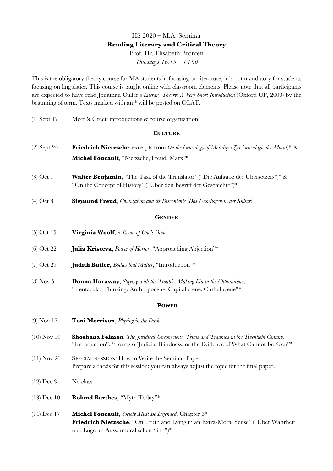# HS 2020 – M.A. Seminar **Reading Literary and Critical Theory** Prof. Dr. Elisabeth Bronfen *Thursdays 16.15 – 18.00*

This is the obligatory theory course for MA students in focusing on literature; it is not mandatory for students focusing on linguistics. This course is taught online with classroom elements. Please note that all participants are expected to have read Jonathan Culler's *Literary Theory: A Very Short Introduction* (Oxford UP, 2000) by the beginning of term. Texts marked with an \* will be posted on OLAT.

(1) Sept 17 Meet & Greet: introductions & course organization.

#### **CULTURE**

- (2) Sept 24 **Friedrich Nietzsche**, excerpts from *On the Genealogy of Morality* (*Zur Genealogie der Moral*)\* & **Michel Foucault**, "Nietzsche, Freud, Marx"\*
- (3) Oct 1 **Walter Benjamin**, "The Task of the Translator" ("Die Aufgabe des Übersetzers")\* & "On the Concept of History" ("Über den Begriff der Geschichte")\*
- (4) Oct 8 **Sigmund Freud**, *Civilization and its Discontents* (*Das Unbehagen in der Kultur*)

#### **GENDER**

- (5) Oct 15 **Virginia Woolf**, *A Room of One's Own*
- (6) Oct 22 **Julia Kristeva**, *Power of Horror*, "Approaching Abjection"\*
- (7) Oct 29 **Judith Butler,** *Bodies that Matter*, "Introduction"\*
- (8) Nov 5 **Donna Haraway**, *Staying with the Trouble. Making Kin in the Chthulucene*, "Tentacular Thinking. Anthropocene, Capitalocene, Chthulucene"\*

#### **POWER**

- (9) Nov 12 **Toni Morrison**, *Playing in the Dark*
- (10) Nov 19 **Shoshana Felman**, *The Juridical Unconscious. Trials and Traumas in the Twentieth Century*, "Introduction", "Forms of Judicial Blindness, or the Evidence of What Cannot Be Seen"\*
- (11) Nov 26 SPECIAL SESSION: How to Write the Seminar Paper Prepare a thesis for this session; you can always adjust the topic for the final paper.
- $(12)$  Dec 3 No class.
- (13) Dec 10 **Roland Barthes**, "Myth Today"\*
- (14) Dec 17 **Michel Foucault**, *Society Must Be Defended*, Chapter 3\* **Friedrich Nietzsche**, "On Truth and Lying in an Extra-Moral Sense" ("Über Wahrheit und Lüge im Aussermoralischen Sinn")\*